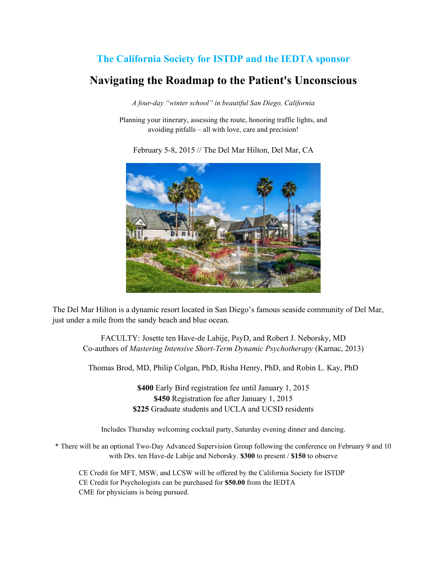## **The California Society for ISTDP and the IEDTA sponsor Navigating the Roadmap to the Patient's Unconscious**

*A four-day "winter school" in beautiful San Diego, California*

Planning your itinerary, assessing the route, honoring traffic lights, and avoiding pitfalls – all with love, care and precision!

February 5-8, 2015 // The Del Mar Hilton, Del Mar, CA



The Del Mar Hilton is a dynamic resort located in San Diego's famous seaside community of Del Mar, just under a mile from the sandy beach and blue ocean.

FACULTY: Josette ten Have-de Labije, PsyD, and Robert J. Neborsky, MD Co-authors of *Mastering Intensive Short-Term Dynamic Psychotherapy* (Karnac, 2013)

Thomas Brod, MD, Philip Colgan, PhD, Risha Henry, PhD, and Robin L. Kay, PhD

**\$400** Early Bird registration fee until January 1, 2015 **\$450** Registration fee after January 1, 2015 **\$225** Graduate students and UCLA and UCSD residents

Includes Thursday welcoming cocktail party, Saturday evening dinner and dancing.

\* There will be an optional Two-Day Advanced Supervision Group following the conference on February 9 and 10 with Drs. ten Have-de Labije and Neborsky. **\$300** to present / **\$150** to observe

CE Credit for MFT, MSW, and LCSW will be offered by the California Society for ISTDP CE Credit for Psychologists can be purchased for **\$50.00** from the IEDTA CME for physicians is being pursued.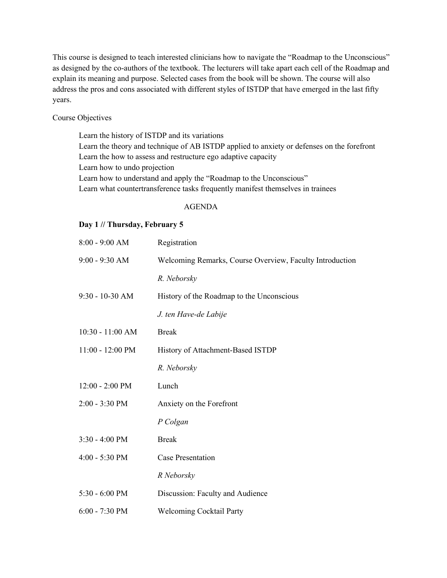This course is designed to teach interested clinicians how to navigate the "Roadmap to the Unconscious" as designed by the co-authors of the textbook. The lecturers will take apart each cell of the Roadmap and explain its meaning and purpose. Selected cases from the book will be shown. The course will also address the pros and cons associated with different styles of ISTDP that have emerged in the last fifty years.

Course Objectives

Learn the history of ISTDP and its variations Learn the theory and technique of AB ISTDP applied to anxiety or defenses on the forefront Learn the how to assess and restructure ego adaptive capacity Learn how to undo projection Learn how to understand and apply the "Roadmap to the Unconscious" Learn what countertransference tasks frequently manifest themselves in trainees

## AGENDA

## **Day 1 // Thursday, February 5**

| Registration                                             |
|----------------------------------------------------------|
| Welcoming Remarks, Course Overview, Faculty Introduction |
| R. Neborsky                                              |
| History of the Roadmap to the Unconscious                |
| J. ten Have-de Labije                                    |
| <b>Break</b>                                             |
| History of Attachment-Based ISTDP                        |
| R. Neborsky                                              |
| Lunch                                                    |
| Anxiety on the Forefront                                 |
| P Colgan                                                 |
| <b>Break</b>                                             |
| <b>Case Presentation</b>                                 |
| R Neborsky                                               |
| Discussion: Faculty and Audience                         |
| <b>Welcoming Cocktail Party</b>                          |
|                                                          |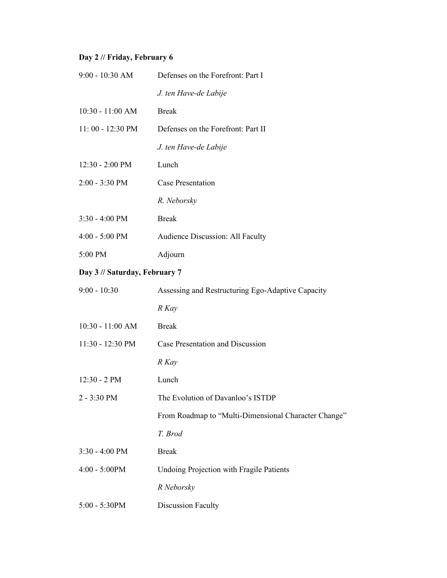## **Day 2 // Friday, February 6**

| 9:00 - 10:30 AM               | Defenses on the Forefront: Part I                    |
|-------------------------------|------------------------------------------------------|
|                               | J. ten Have-de Labije                                |
| 10:30 - 11:00 AM              | <b>Break</b>                                         |
| 11:00 - 12:30 PM              | Defenses on the Forefront: Part II                   |
|                               | J. ten Have-de Labije                                |
| 12:30 - 2:00 PM               | Lunch                                                |
| 2:00 - 3:30 PM                | <b>Case Presentation</b>                             |
|                               | R. Neborsky                                          |
| $3:30 - 4:00$ PM              | <b>Break</b>                                         |
| $4:00 - 5:00$ PM              | Audience Discussion: All Faculty                     |
| 5:00 PM                       | Adjourn                                              |
| Day 3 // Saturday, February 7 |                                                      |
| $9:00 - 10:30$                | Assessing and Restructuring Ego-Adaptive Capacity    |
|                               | R Kay                                                |
| 10:30 - 11:00 AM              | <b>Break</b>                                         |
| 11:30 - 12:30 PM              | Case Presentation and Discussion                     |
|                               | R Kay                                                |
| 12:30 - 2 PM                  | Lunch                                                |
| 2 - 3:30 PM                   | The Evolution of Davanloo's ISTDP                    |
|                               | From Roadmap to "Multi-Dimensional Character Change" |
|                               | T. Brod                                              |
| 3:30 - 4:00 PM                | <b>Break</b>                                         |
| $4:00 - 5:00PM$               | Undoing Projection with Fragile Patients             |
|                               | R Neborsky                                           |
| 5:00 - 5:30PM                 | <b>Discussion Faculty</b>                            |